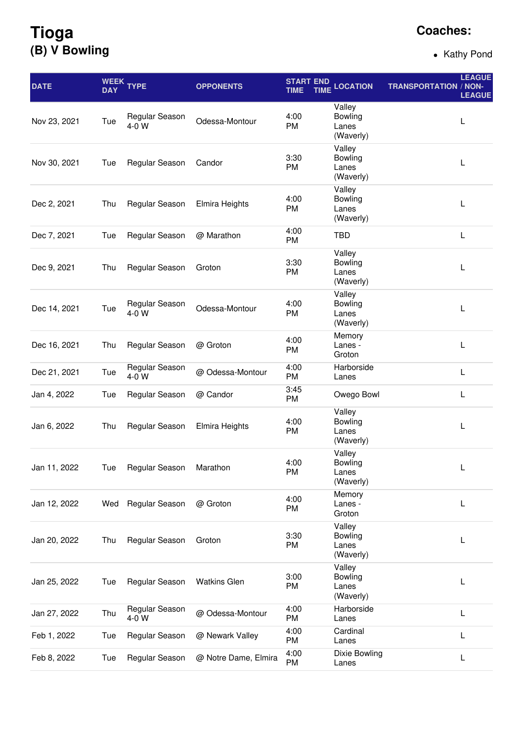## **Tioga (B) V Bowling**

## **Coaches:**

• Kathy Pond

| <b>DATE</b>  | <b>DAY</b> | WEEK TYPE               | <b>OPPONENTS</b>      | <b>START END</b><br><b>TIME</b><br><b>TIME</b> | <b>LOCATION</b>                                | <b>TRANSPORTATION / NON-</b> | <b>LEAGUE</b><br><b>LEAGUE</b> |
|--------------|------------|-------------------------|-----------------------|------------------------------------------------|------------------------------------------------|------------------------------|--------------------------------|
| Nov 23, 2021 | Tue        | Regular Season<br>4-0 W | Odessa-Montour        | 4:00<br>PM                                     | Valley<br>Bowling<br>Lanes<br>(Waverly)        |                              | L                              |
| Nov 30, 2021 | Tue        | Regular Season          | Candor                | 3:30<br>PM                                     | Valley<br><b>Bowling</b><br>Lanes<br>(Waverly) |                              | L                              |
| Dec 2, 2021  | Thu        | Regular Season          | <b>Elmira Heights</b> | 4:00<br>PM                                     | Valley<br>Bowling<br>Lanes<br>(Waverly)        |                              | L                              |
| Dec 7, 2021  | Tue        | Regular Season          | @ Marathon            | 4:00<br>PM                                     | <b>TBD</b>                                     |                              | L                              |
| Dec 9, 2021  | Thu        | Regular Season          | Groton                | 3:30<br>PM                                     | Valley<br><b>Bowling</b><br>Lanes<br>(Waverly) |                              | L                              |
| Dec 14, 2021 | Tue        | Regular Season<br>4-0 W | Odessa-Montour        | 4:00<br>PM                                     | Valley<br>Bowling<br>Lanes<br>(Waverly)        |                              | L                              |
| Dec 16, 2021 | Thu        | Regular Season          | @ Groton              | 4:00<br>PM                                     | Memory<br>Lanes -<br>Groton                    |                              | L                              |
| Dec 21, 2021 | Tue        | Regular Season<br>4-0 W | @ Odessa-Montour      | 4:00<br>PM                                     | Harborside<br>Lanes                            |                              | $\mathsf{L}$                   |
| Jan 4, 2022  | Tue        | Regular Season          | @ Candor              | 3:45<br>PM                                     | Owego Bowl                                     |                              | L                              |
| Jan 6, 2022  | Thu        | Regular Season          | Elmira Heights        | 4:00<br>PM                                     | Valley<br><b>Bowling</b><br>Lanes<br>(Waverly) |                              | L                              |
| Jan 11, 2022 | Tue        | Regular Season          | Marathon              | 4:00<br>PM                                     | Valley<br>Bowling<br>Lanes<br>(Waverly)        |                              | L                              |
| Jan 12, 2022 | Wed        | Regular Season          | @ Groton              | 4:00<br>PM                                     | Memory<br>Lanes -<br>Groton                    |                              | L                              |
| Jan 20, 2022 | Thu        | Regular Season          | Groton                | 3:30<br>PM                                     | Valley<br>Bowling<br>Lanes<br>(Waverly)        |                              | L                              |
| Jan 25, 2022 | Tue        | Regular Season          | <b>Watkins Glen</b>   | 3:00<br>PM                                     | Valley<br>Bowling<br>Lanes<br>(Waverly)        |                              | L                              |
| Jan 27, 2022 | Thu        | Regular Season<br>4-0 W | @ Odessa-Montour      | 4:00<br>PM                                     | Harborside<br>Lanes                            |                              | L                              |
| Feb 1, 2022  | Tue        | Regular Season          | @ Newark Valley       | 4:00<br>PM                                     | Cardinal<br>Lanes                              |                              | L                              |
| Feb 8, 2022  | Tue        | Regular Season          | @ Notre Dame, Elmira  | 4:00<br>PM                                     | Dixie Bowling<br>Lanes                         |                              | L                              |